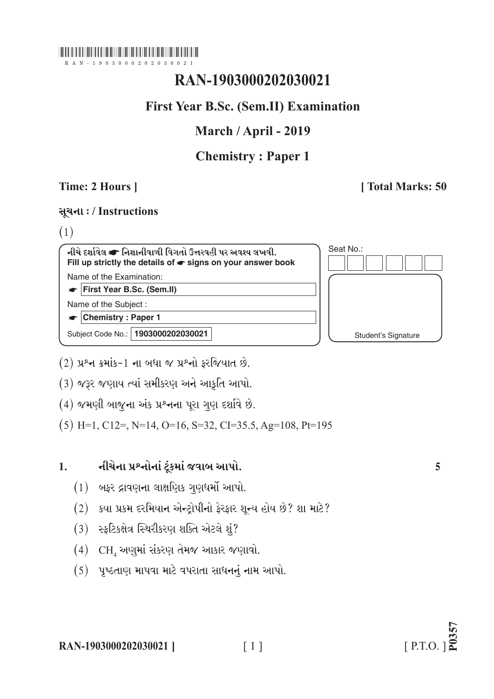### 

 $-1903000202030$ 

# RAN-1903000202030021

## **First Year B.Sc. (Sem.II) Examination**

## March / April - 2019

## **Chemistry: Paper 1**

### Time: 2 Hours 1

### **Total Marks: 50**

### सूथना:/Instructions

 $(1)$ 

નીચે દર્શાવેલ σ નિશાનીવાળી વિગતો ઉત્તરવહી પર અવશ્ય લખવી. Fill up strictly the details of  $\bullet$  signs on your answer book Name of the Examination:

First Year B.Sc. (Sem.II)

Name of the Subject:

 $\bullet$  Chemistry : Paper 1

Subject Code No.: 1903000202030021

Seat No.: **Student's Signature** 

 $(2)$  પ્રશ્ન ક્રમાંક-1 ના બધા જ પ્રશ્નો કરજિયાત છે.

(3) જરૂર જણાય ત્યાં સમીકરણ અને આકૃતિ આપો.

 $(4)$  જમણી બાજુના અંક પ્રશ્નના પરા ગણ દર્શાવે છે.

 $(5)$  H=1, C12=, N=14, O=16, S=32, CI=35.5, Ag=108, Pt=195

#### નીચેના પ્રશ્નોનાં ટુંકમાં જવાબ આપો.  $\mathbf{1}$

- $(1)$  બફર દ્રાવણના લાક્ષણિક ગુણધર્મો આપો.
- (2) કયા પ્રકમ દરમિયાન એન્ટ્રોપીનો ફેરફાર શૂન્ય હોય છે? શા માટે?
- (3) સ્ફટિકક્ષેત્ર સ્થિરીકરણ શક્તિ એટલે શું?
- $(4)$  CH, અણુમાં સંકરણ તેમજ આકાર જણાવો.
- $(5)$  પૃષ્ઠતાણ માપવા માટે વપરાતા સાધનનું નામ આપો.

 $\lceil 1 \rceil$ 

5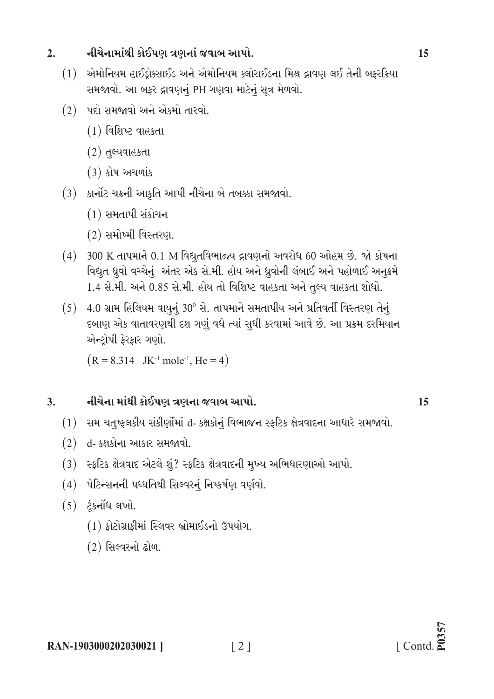#### નીચેનામાંથી કોઈપણ ત્રણનાં જવાબ આપો.  $2.$

- (1) એમોનિયમ હાઈડ્રોક્સાઈડ અને એમોનિયમ ક્લોરાઈડના મિશ્ર દ્રાવણ લઈ તેની બફરક્રિયા સમજાવો. આ બફર દ્રાવણનું PH ગણવા માટેનું સૂત્ર મેળવો.
- $(2)$  પદો સમજાવો અને એકમો તારવો.
	- $(1)$  વિશિષ્ટ વાહકતા
	- $(2)$  તુલ્યવાહકતા
	- $(3)$  કોષ અચળાંક
- (3) કાર્નોટ ચક્રની આકૃતિ આપી નીચેના બે તબક્કા સમજાવો.
	- $(1)$  સમતાપી સંકોચન
	- (2) સમોખ્મી વિસ્તરણ.
- $(4)$  300 K તાપમાને 0.1 M વિદ્યુતવિભાજ્ય દ્રાવણનો અવરોધ 60 ઓહમ છે. જો કોષના વિદ્યુત ધ્રુવો વચ્ચેનું અંતર એક સે.મી. હોય અને ધ્રુવોની લંબાઈ અને પહોળાઈ અનુક્રમે 1.4 સે.મી. અને 0.85 સે.મી. હોય તો વિશિષ્ટ વાહકતા અને તુલ્ય વાહકતા શોધો.
- $(5)$  4.0 ગ્રામ હિલિયમ વાયુનું 30<sup>0</sup> સે. તાપમાને સમતાપીય અને પ્રતિવર્તી વિસ્તરણ તેનું દબાણ એક વાતાવરણથી દશ ગણું વધે ત્યાં સુધી કરવામાં આવે છે. આ પ્રક્રમ દરમિયાન એન્ટોપી ફેરફાર ગણો.

 $(R = 8.314$  JK<sup>-1</sup> mole<sup>-1</sup>, He = 4)

#### નીચેના માંથી કોઈપણ ત્રણના જવાબ આપો.  $3.$

(1) સમ ચતુષ્ફલકીય સંકીર્ણોમાં d- કક્ષકોનું વિભાજન સ્ફટિક ક્ષેત્રવાદના આધારે સમજાવો.

 $\lceil 2 \rceil$ 

- $(2)$  d- કક્ષકોના આકાર સમજાવો.
- (3) સ્ફટિક ક્ષેત્રવાદ એટલે શું? સ્ફટિક ક્ષેત્રવાદની મુખ્ય અભિધારણાઓ આપો.
- (4) पेटिन्सननी पध्धतिथी सिલ्वरनं निष्कर्षण वर्णवो.
- $(5)$  ટંકનોંધ લખો.
	- $(1)$  કોટોગ્રાકીમાં સ્લિવર બ્રોમાઈડનો ઉપયોગ.
	- (2) સિલ્વરનો ઢોળ.

15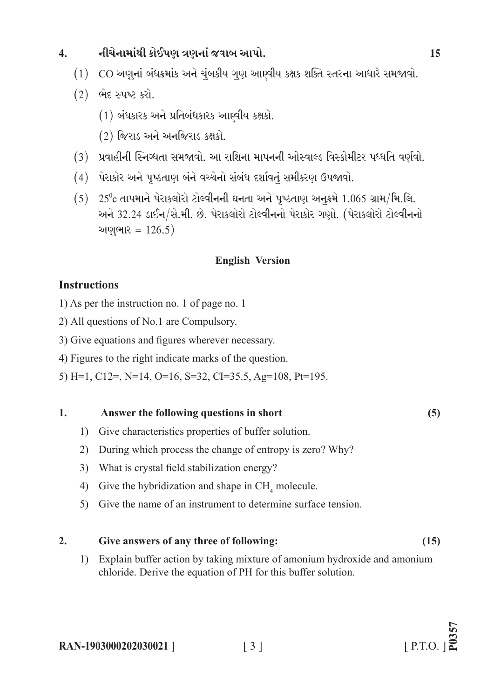#### નીચેનામાંથી કોઈપણ ત્રણનાં જવાબ આપો.  $\overline{4}$ .

- (1) CO અણુનાં બંધક્રમાંક અને ચુંબકીય ગુણ આણ્વીય કક્ષક શક્તિ સ્તરના આધારે સમજાવો.
- $(2)$  ભેદ સ્પષ્ટ કરો.
	- $(1)$  બંધકારક અને પ્રતિબંધકારક આણ્વીય કક્ષકો.
	- $(2)$  જિરાડ અને અનજિરાડ કક્ષકો.
- (3) પ્રવાહીની સ્નિગ્ધતા સમજાવો. આ રાશિના માપનની ઓસ્વાલ્ડ વિસ્કોમીટર પધ્ધતિ વર્ણવો.
- (4) પેરાકોર અને પૃષ્ઠતાણ બંને વચ્ચેનો સંબંધ દર્શાવતું સમીકરણ ઉપજાવો.
- $(5)$  25°c તાપમાને પેરાકલોરો ટોલ્વીનની ઘનતા અને પુષ્ઠતાણ અનુક્રમે 1.065 ગ્રામ/મિ.લિ. અને 32.24 ડાઈન/સે.મી. છે. પેરાકલોરો ટોલ્વીનનો પેરાકોર ગણો. (પેરાકલોરો ટોલ્વીનનો અણુભાર = 126.5)

### **English Version**

### **Instructions**

- 1) As per the instruction no. 1 of page no. 1
- 2) All questions of No.1 are Compulsory.
- 3) Give equations and figures wherever necessary.
- 4) Figures to the right indicate marks of the question.

5) H=1, C12=, N=14, O=16, S=32, CI=35.5, Ag=108, Pt=195.

#### $\mathbf{1}$ . Answer the following questions in short

- 1) Give characteristics properties of buffer solution.
- 2) During which process the change of entropy is zero? Why?
- 3) What is crystal field stabilization energy?
- 4) Give the hybridization and shape in  $CH<sub>a</sub>$  molecule.
- 5) Give the name of an instrument to determine surface tension.

#### $2.$ Give answers of any three of following:

1) Explain buffer action by taking mixture of amonium hydroxide and amonium chloride. Derive the equation of PH for this buffer solution.

 $(15)$ 

 $(5)$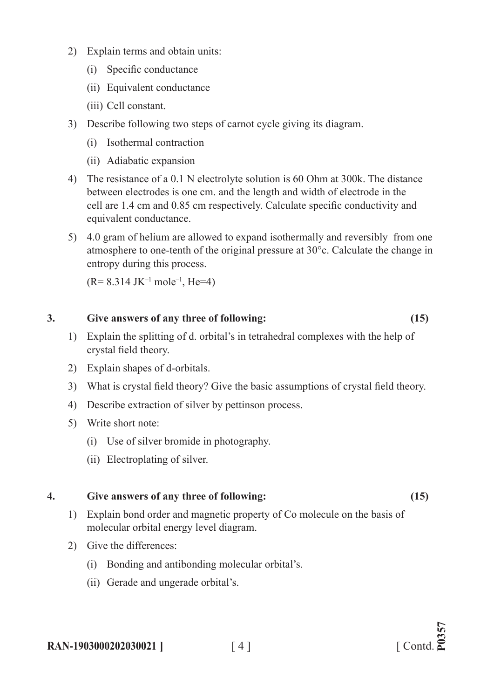- 2) Explain terms and obtain units:
	- (i) Specific conductance
	- (ii) Equivalent conductance
	- (iii) Cell constant.
- 3) Describe following two steps of carnot cycle giving its diagram.
	- (i) Isothermal contraction
	- (ii) Adiabatic expansion
- 4) The resistance of a 0.1 N electrolyte solution is 60 Ohm at 300k. The distance between electrodes is one cm. and the length and width of electrode in the cell are 1.4 cm and 0.85 cm respectively. Calculate specific conductivity and equivalent conductance.
- 5) 4.0 gram of helium are allowed to expand isothermally and reversibly from one atmosphere to one-tenth of the original pressure at 30°c. Calculate the change in entropy during this process.

 $(R= 8.314 \text{ JK}^{-1} \text{ mole}^{-1} \text{He}=4)$ 

### **3. Give answers of any three of following: (15)**

- 1) Explain the splitting of d. orbital's in tetrahedral complexes with the help of crystal field theory.
- 2) Explain shapes of d-orbitals.
- 3) What is crystal field theory? Give the basic assumptions of crystal field theory.
- 4) Describe extraction of silver by pettinson process.
- 5) Write short note:
	- (i) Use of silver bromide in photography.
	- (ii) Electroplating of silver.

### **4. Give answers of any three of following: (15)**

- 1) Explain bond order and magnetic property of Co molecule on the basis of molecular orbital energy level diagram.
- 2) Give the differences:
	- (i) Bonding and antibonding molecular orbital's.
	- (ii) Gerade and ungerade orbital's.